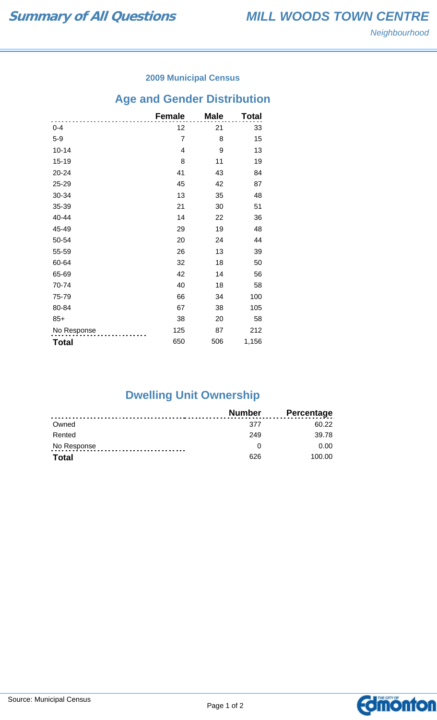### **2009 Municipal Census**

## **Age and Gender Distribution**

|              | <b>Female</b>  | <b>Male</b> | Total |
|--------------|----------------|-------------|-------|
| $0 - 4$      | 12             | 21          | 33    |
| $5-9$        | $\overline{7}$ | 8           | 15    |
| $10 - 14$    | 4              | 9           | 13    |
| $15 - 19$    | 8              | 11          | 19    |
| 20-24        | 41             | 43          | 84    |
| 25-29        | 45             | 42          | 87    |
| 30-34        | 13             | 35          | 48    |
| 35-39        | 21             | 30          | 51    |
| 40-44        | 14             | 22          | 36    |
| 45-49        | 29             | 19          | 48    |
| 50-54        | 20             | 24          | 44    |
| 55-59        | 26             | 13          | 39    |
| 60-64        | 32             | 18          | 50    |
| 65-69        | 42             | 14          | 56    |
| 70-74        | 40             | 18          | 58    |
| 75-79        | 66             | 34          | 100   |
| 80-84        | 67             | 38          | 105   |
| $85+$        | 38             | 20          | 58    |
| No Response  | 125            | 87          | 212   |
| <b>Total</b> | 650            | 506         | 1,156 |

# **Dwelling Unit Ownership**

|              | Number | <b>Percentage</b> |
|--------------|--------|-------------------|
| Owned        | 377    | 60.22             |
| Rented       | 249    | 39.78             |
| No Response  |        | 0.00              |
| <b>Total</b> | 626    | 100.00            |